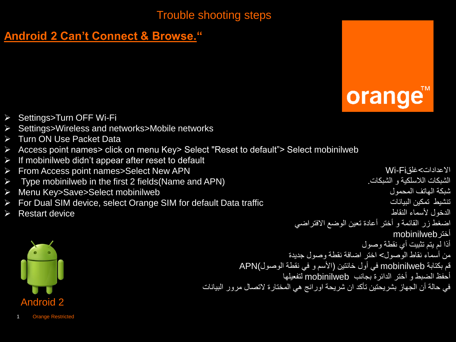# **Android 2 Can't Connect & Browse."**



- ▶ Settings>Turn OFF Wi-Fi
- $\triangleright$  Settings>Wireless and networks>Mobile networks
- **▶ Turn ON Use Packet Data**
- Access point names> click on menu Key> Select "Reset to default"> Select mobinilweb
- $\triangleright$  If mobinilweb didn't appear after reset to default
- From Access point names>Select New APN
- $\triangleright$  Type mobinilweb in the first 2 fields (Name and APN)
- Menu Key>Save>Select mobinilweb
- $\triangleright$  For Dual SIM device, select Orange SIM for default Data traffic
- $\triangleright$  Restart device

االعدادات<غلقFi-Wi الشبكات اللاسلكية و الشبكات. شبكة الهاتف المحمول تتشبط تمكين الببانات الدخول ألسماء النقاط اضغط زر القائمة و أختر أعادة تعين الوضع الافتراضي أخترmobinilweb أذا لم يتم تثبيت أي نقطة وصول من أسماء نقاط الوصول> اختر اضافة نقطة وصول جديدة قم بكتابة mobinilweb في أول خانتين (الأسم و في نقطة الوصول)APN أحفظ الضبط و أختر الدائرة بجانب mobinilweb لتفعٌلها في حالة أن الجهاز بشريحتين تأكد ان شريحة اورانج هي المختارة لاتصال مرور البيانات

<span id="page-0-0"></span>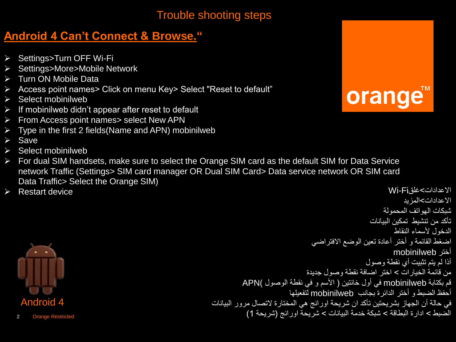## **Android 4 Can't Connect & Browse."**

- ▶ Settings>Turn OFF Wi-Fi
- **>** Settings>More>Mobile Network
- > Turn ON Mobile Data
- Access point names> Click on menu Key> Select "Reset to default"
- $\triangleright$  Select mobinilweb
- $\triangleright$  If mobinilweb didn't appear after reset to default
- $\triangleright$  From Access point names > select New APN
- $\triangleright$  Type in the first 2 fields (Name and APN) mobinilweb
- $\triangleright$  Save
- $\triangleright$  Select mobinilweb
- For dual SIM handsets, make sure to select the Orange SIM card as the default SIM for Data Service network Traffic (Settings> SIM card manager OR Dual SIM Card> Data service network OR SIM card Data Traffic> Select the Orange SIM)
- Restart device Wi-Fiغلق<االعدادات

<span id="page-1-0"></span>

```
شبكات الهواتف المحمولة
                                                   تأكد من تنشيط تمكين الببانات
                                                          الدخول لأسماء النقاط
                                اضغط القائمة و أختر أعادة تعين الوضع الأفتراضي
                                                          أختر mobinilweb
                                                  أذا لم يتم تثبيت أي نقطة وصول
                              من قائمة الخبار ات > اختر اضافة نقطة وصول جدبدة
          قم بكتابة mobinilweb في أول خانتين ( الأسم و في نقطة الوصول )APN
                         أحفظ الضبط و أختر الدائرة بجانب mobinilweb لتفعٌلها
في حالة أن الجهاز بشريحتين تأكد ان شريحة اورانج هي المختارة لاتصال مرور البيانات
           الضبط < ادارة البطاقة < شبكة خدمة البٌانات < شرٌحة اورانج (شرٌحة 1(
```


االعدادات<المزٌد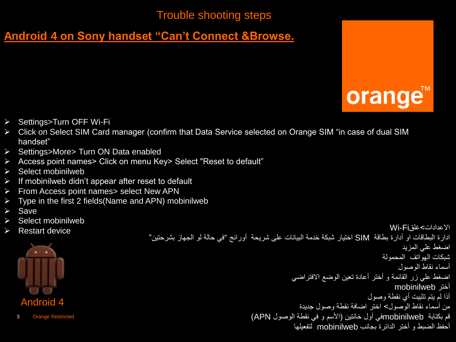# **Android 4 on Sony handset "Can't Connect &Browse.**



- ▶ Settings>Turn OFF Wi-Fi
- ▶ Click on Select SIM Card manager (confirm that Data Service selected on Orange SIM "in case of dual SIM handset"
- ▶ Settings>More> Turn ON Data enabled
- Access point names> Click on menu Key> Select "Reset to default"
- $\triangleright$  Select mobinilweb
- $\triangleright$  If mobinilweb didn't appear after reset to default
- $\triangleright$  From Access point names > select New APN
- $\triangleright$  Type in the first 2 fields (Name and APN) mobinilweb
- $\triangleright$  Save
- $\triangleright$  Select mobinilweb
- 



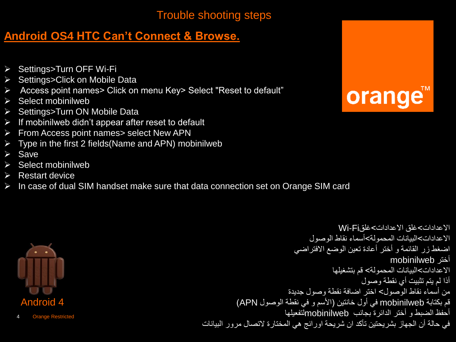## **Android OS4 HTC Can't Connect & Browse.**

- ▶ Settings>Turn OFF Wi-Fi
- ▶ Settings>Click on Mobile Data
- Access point names> Click on menu Key> Select "Reset to default"
- $\triangleright$  Select mobinilweb
- ▶ Settings>Turn ON Mobile Data
- $\triangleright$  If mobinilweb didn't appear after reset to default
- $\triangleright$  From Access point names > select New APN
- $\triangleright$  Type in the first 2 fields (Name and APN) mobinilweb
- $\triangleright$  Save
- $\triangleright$  Select mobinilweb
- $\triangleright$  Restart device
- $\triangleright$  In case of dual SIM handset make sure that data connection set on Orange SIM card





```
االعدادات<غلق االعدادات<غلقFi-Wi
                                 االعدادات<البٌانات المحمولة<أسماء نقاط الوصول
                            اضغط زر القائمة و أختر أعادة تعين الوضع الافتراضي
                                                          أختر mobinilweb
                                        االعدادات<البٌانات المحمولة< قم بتشغٌلها
                                                 أذا لم يتم تثبيت أي نقطة وصول
                          من أسماء نقاط الوصول> اختر اضافة نقطة وصول جديدة
          قم بكتابة mobinilweb في أول خانتين (الأسم و في نقطة الوصول APN)
                         أحفظ الضبط و أختر الدائرة بجانب mobinilwebلتفعٌلها 
في حالة أن الجهاز بشريحتين تأكد ان شريحة اورانج هي المختارة لاتصال مرور البيانات
```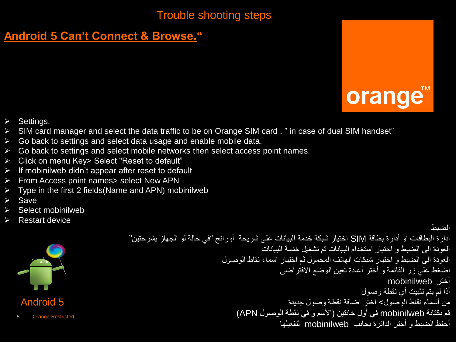# **Android 5 Can't Connect & Browse."**



- $\triangleright$  Settings.
- SIM card manager and select the data traffic to be on Orange SIM card . " in case of dual SIM handset"
- $\triangleright$  Go back to settings and select data usage and enable mobile data.
- $\triangleright$  Go back to settings and select mobile networks then select access point names.
- Click on menu Key> Select "Reset to default"
- $\triangleright$  If mobinilweb didn't appear after reset to default
- $\triangleright$  From Access point names > select New APN
- $\triangleright$  Type in the first 2 fields (Name and APN) mobinilweb
- $\triangleright$  Save
- Select mobinilweb
- Restart device

<span id="page-4-0"></span>

```
الضبط
ادارة البطاقات او أدارة بطاقة SIM اختيار شبكة خدمة البيانات على شريحة  أورانج "في حالة لو الجهاز بشرحتين"
                                         العودة الى الضبط و اختيار استخدام البيانات ثم تشغيل خدمة البيانات
                             العودة الى الضبط و اختٌار شبكات الهاتف المحمول ثم اختٌار اسماء نقاط الوصول
                                               اضغط على زر القائمة و أختر أعادة تعين الوضع الافتراضي
                                                                                 أختر mobinilweb
                                                                         أذا لم يتم تثبيت أي نقطة وصول
                                                  من أسماء نقاط الوصول> اختر اضافة نقطة وصول جديدة
                                 قم بكتابة mobinilweb في أول خانتين (الأسم و في نقطة الوصول APN)
                                               أحفظ الضبط و أختر الدائرة بجانب mobinilweb لتفعٌلها
```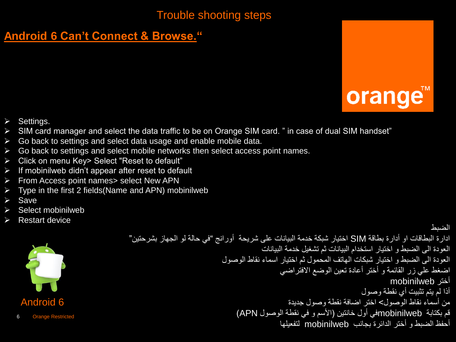# **Android 6 Can't Connect & Browse."**



الضبط

- $\triangleright$  Settings.
- SIM card manager and select the data traffic to be on Orange SIM card. " in case of dual SIM handset"
- $\triangleright$  Go back to settings and select data usage and enable mobile data.
- $\triangleright$  Go back to settings and select mobile networks then select access point names.
- Click on menu Key> Select "Reset to default"
- $\triangleright$  If mobinilweb didn't appear after reset to default
- $\triangleright$  From Access point names > select New APN
- $\triangleright$  Type in the first 2 fields (Name and APN) mobinilweb
- $\triangleright$  Save
- Select mobinilweb
- Restart device



ادارة البطاقات او أدارة بطاقة SIM اختيار شبكة خدمة البيانات على شريحة أورانج "في حالة لو الجهاز بشرحتين" العودة الى الضبط و اختيار استخدام البيانات ثم تشغيل خدمة البيانات العودة الى الضبط و اختٌار شبكات الهاتف المحمول ثم اختٌار اسماء نقاط الوصول اضغط على زر القائمة و أختر أعادة تعين الوضع الافتراضي أختر mobinilweb أذا لم يتم تثبيت أي نقطة وصول من أسماء نقاط الوصول> اختر اضافة نقطة وصول جديدة قم بكتابة mobinilwebفي أول خانتين (الأسم و في نقطة الوصول APN) أحفظ الضبط و أختر الدائرة بجانب mobinilweb لتفعٌلها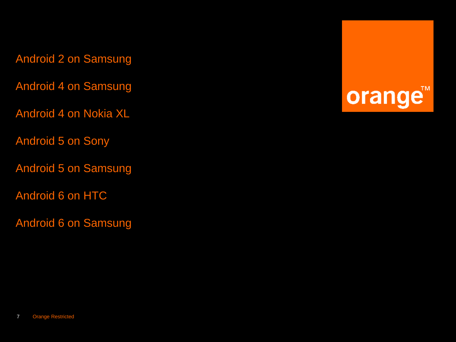Android 2 on Samsung

[Android 4 on Samsung](#page-7-0) 

Android 4 on Nokia XL

Android 5 on Sony

Android 5 on Samsung

Android 6 on HTC

Android 6 on Samsung

orange<sup>™</sup>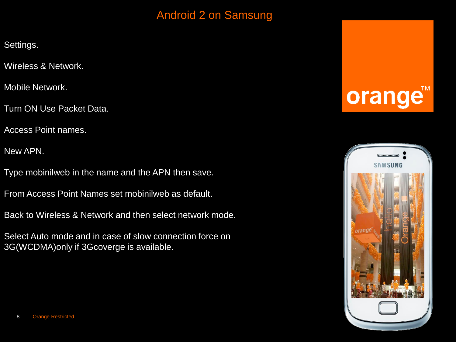# Android 2 on Samsung

Settings.

Wireless & Network.

Mobile Network.

Turn ON Use Packet Data.

Access Point names.

New APN.

Type mobinilweb in the name and the APN then save.

From Access Point Names set mobinilweb as default.

Back to Wireless & Network and then select network mode.

<span id="page-7-0"></span>Select Auto mode and in case of slow connection force on 3G(WCDMA)only if 3Gcoverge is available.

# orange<sup>®</sup>

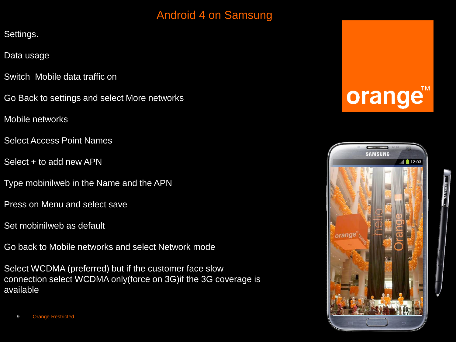## Android 4 on Samsung

Settings.

Data usage

- Switch Mobile data traffic on
- Go Back to settings and select More networks

Mobile networks

- Select Access Point Names
- Select + to add new APN
- Type mobinilweb in the Name and the APN
- Press on Menu and select save
- Set mobinilweb as default
- Go back to Mobile networks and select Network mode

Select WCDMA (preferred) but if the customer face slow connection select WCDMA only(force on 3G)if the 3G coverage is available

# orange<sup>®</sup>

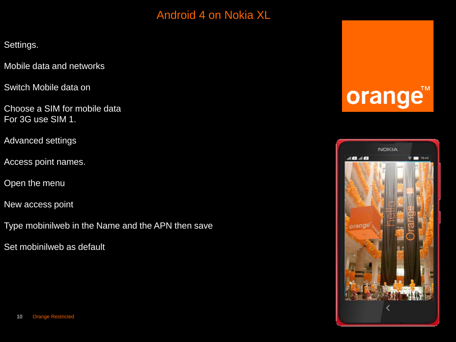## Android 4 on Nokia XL

Settings.

Mobile data and networks

Switch Mobile data on

Choose a SIM for mobile data For 3G use SIM 1.

Advanced settings

Access point names.

Open the menu

New access point

Type mobinilweb in the Name and the APN then save

Set mobinilweb as default

# orange™

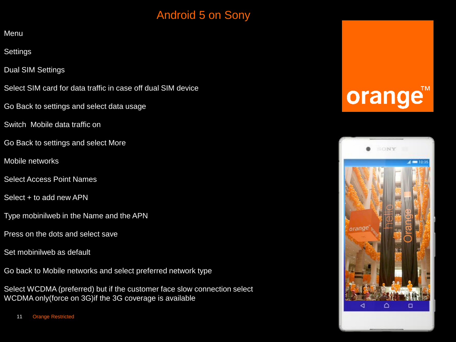## Android 5 on Sony

**Menu** 

**Settings** 

Dual SIM Settings

Select SIM card for data traffic in case off dual SIM device

Go Back to settings and select data usage

Switch Mobile data traffic on

Go Back to settings and select More

Mobile networks

Select Access Point Names

Select + to add new APN

Type mobinilweb in the Name and the APN

Press on the dots and select save

Set mobinilweb as default

Go back to Mobile networks and select preferred network type

Select WCDMA (preferred) but if the customer face slow connection select WCDMA only(force on 3G)if the 3G coverage is available

# orange

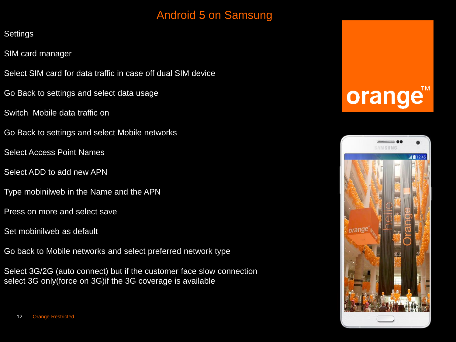## Android 5 on Samsung

#### **Settings**

- SIM card manager
- Select SIM card for data traffic in case off dual SIM device
- Go Back to settings and select data usage
- Switch Mobile data traffic on
- Go Back to settings and select Mobile networks
- Select Access Point Names
- Select ADD to add new APN
- Type mobinilweb in the Name and the APN
- Press on more and select save
- Set mobinilweb as default
- Go back to Mobile networks and select preferred network type
- Select 3G/2G (auto connect) but if the customer face slow connection select 3G only (force on 3G) if the 3G coverage is available



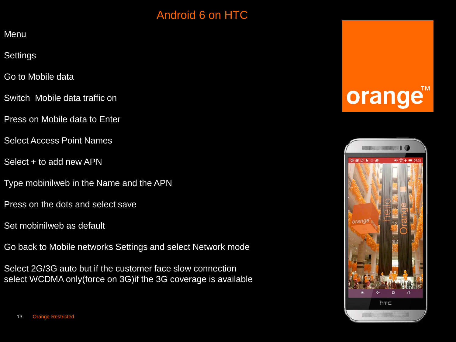## Android 6 on HTC

**Menu** 

**Settings** 

Go to Mobile data

Switch Mobile data traffic on

Press on Mobile data to Enter

Select Access Point Names

Select + to add new APN

Type mobinilweb in the Name and the APN

Press on the dots and select save

Set mobinilweb as default

Go back to Mobile networks Settings and select Network mode

Select 2G/3G auto but if the customer face slow connection select WCDMA only(force on 3G)if the 3G coverage is available

# orange<sup>®</sup>

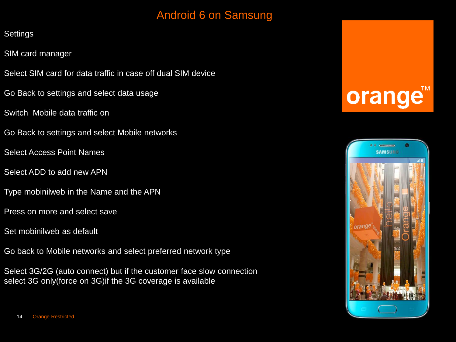## Android 6 on Samsung

#### **Settings**

- SIM card manager
- Select SIM card for data traffic in case off dual SIM device
- Go Back to settings and select data usage
- Switch Mobile data traffic on
- Go Back to settings and select Mobile networks
- Select Access Point Names
- Select ADD to add new APN
- Type mobinilweb in the Name and the APN
- Press on more and select save
- Set mobinilweb as default
- Go back to Mobile networks and select preferred network type

Select 3G/2G (auto connect) but if the customer face slow connection select 3G only (force on 3G) if the 3G coverage is available

# orange

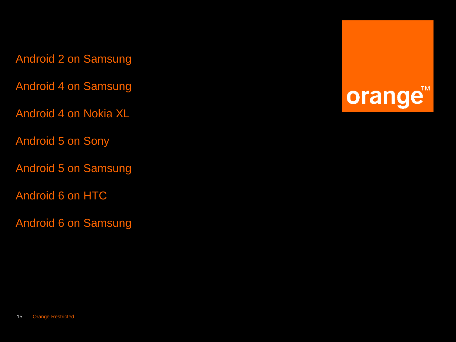Android 2 on Samsung

[Android 4 on Samsung](#page-7-0) 

Android 4 on Nokia XL

Android 5 on Sony

Android 5 on Samsung

Android 6 on HTC

Android 6 on Samsung

orange<sup>™</sup>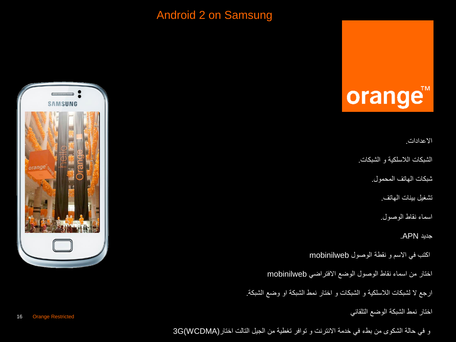## Android 2 on Samsung

# orange™

االعدادات.

الشبكات اللاسلكية و الشبكات.

شبكات الهاتف المحمول.

تشغيل بينات الهاتف.

اسماء نقاط الوصول.

جدٌد APN.

اكتب فً االسم و نقطة الوصول mobinilweb

اختار من اسماء نقاط الوصول الوضع االفتراضً mobinilweb

ارجع لا لشبكات اللاسلكية و الشبكات و اختار نمط الشبكة او وضع الشبكة.

اختار نمط الشبكة الوضع التلقائً

و في حالة الشكوى من بطء في خدمة الانترنت و توافر تغطية من الجيل التالت اختار(WCDMA)3G

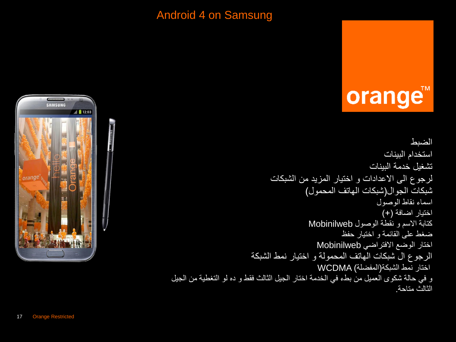### Android 4 on Samsung

# orange™

الضبط استخدام البينات تشغيل خدمة البينات لرجوع الى الاعدادات و اختيار المزيد من الشبكات شبكات الجوال)شبكات الهاتف المحمول( اسماء نقاط الوصول اختيار اضافة (+) كتابة االسم و نقطة الوصول Mobinilweb ضغط على القائمة و اختيار حفظ اختار الوضع االفتراضً Mobinilweb الرجوع ال شبكات الهاتف المحمولة و اختٌار نمط الشبكة اختار نمط الشبكة(المفضلة) WCDMA و في حالة شكوى العميل من بطء في الخدمة اختار الجيل الثالث فقط و ده لو التغطية من الجيل الثالث متاحة.

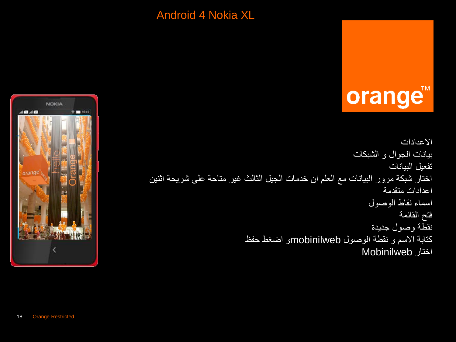### Android 4 Nokia XL



```
االعدادات
                                                       بٌانات الجوال و الشبكات
                                                                 تفعيل البيانات
اختار شبكة مرور البيانات مع العلم ان خدمات الجيل الثالث غير متاحة على شرِيحة اثنين
                                                               اعدادات متقدمة
                                                           اسماء نقاط الوصول
                                                                  فتح القائمة
                                                            نقطة وصول جديدة
                          كتابة االسم و نقطة الوصول mobinilwebو اضغط حفظ
                                                         اختار Mobinilweb
```
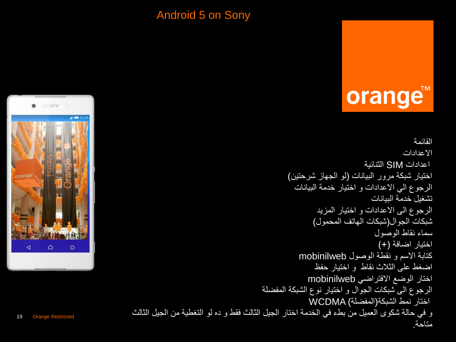### Android 5 on Sony

# orange™

القائمة االعدادات اعدادات SIM الثنائٌة اختيار شبكة مرور البيانات (لو الجهاز شرحتين) الرجوع الى الاعدادات و اختيار خدمة البيانات تشغيل خدمة البيانات الرجوع الى الاعدادات و اختيار المزيد شبكات الجوال)شبكات الهاتف المحمول( سماء نقاط الوصول اختيار اضافة (+) كتابة االسم و نقطة الوصول mobinilweb اضغط على الثالث نقاط و اختٌار حفظ اختار الوضع االفتراضً mobinilweb الرجوع الى شبكات الجوال و اختيار نوع الشبكة المفضلة اختار نمط الشبكة(المفضلة) WCDMA و في حالة شكوى العميل من بطء في الخدمة اختار الجيل الثالث فقط و ده لو التغطية من الجيل الثالث متاحة.

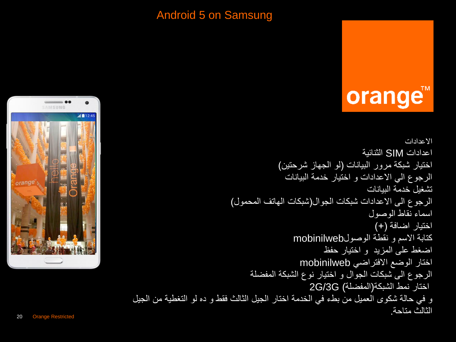### Android 5 on Samsung

# orange™

االعدادات اعدادات SIM الثنائٌة اختيار شبكة مرور البيانات (لو الجهاز شرحتين) الرجوع الى الاعدادات و اختيار خدمة البيانات تشغيل خدمة الببانات الرجوع الى االعدادات شبكات الجوال)شبكات الهاتف المحمول( اسماء نقاط الوصول اختيار اضافة (+) كتابة االسم و نقطة الوصولmobinilweb اضغط على المزٌد و اختٌار حفظ اختار الوضع االفتراضً mobinilweb الرجوع الى شبكات الجوال و اختٌار نوع الشبكة المفضلة اختار نمط الشبكة(المفضلة) G/3G2 و في حالة شكوى العميل من بطء في الخدمة اختار الجيل الثالث فقط و ده لو التغطية من الجيل الثالث متاحة.

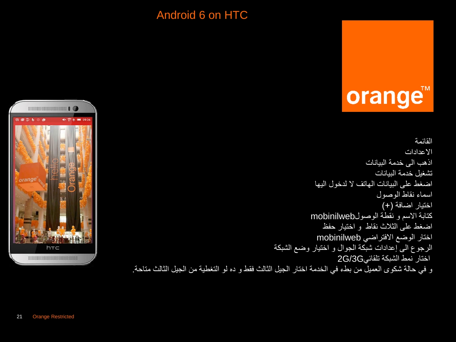## Android 6 on HTC



القائمة االعدادات اذهب الى خدمة الببانات تشغيل خدمة الببانات اضغط على البيانات الهاتف لا لدخول اليها اسماء نقاط الوصول اختيار اضافة (+) كتابة االسم و نقطة الوصولmobinilweb اضغط على الثالث نقاط و اختٌار حفظ اختار الوضع االفتراضً mobinilweb الرجوع الى إعدادات شبكة الجوال و اختٌار وضع الشبكة اختار نمط الشبكة تلقائًG/3G2 و في حالة شكوى العميل من بطء في الخدمة اختار الجيل الثالث فقط و ده لو التغطية من الجيل الثالث متاحة.